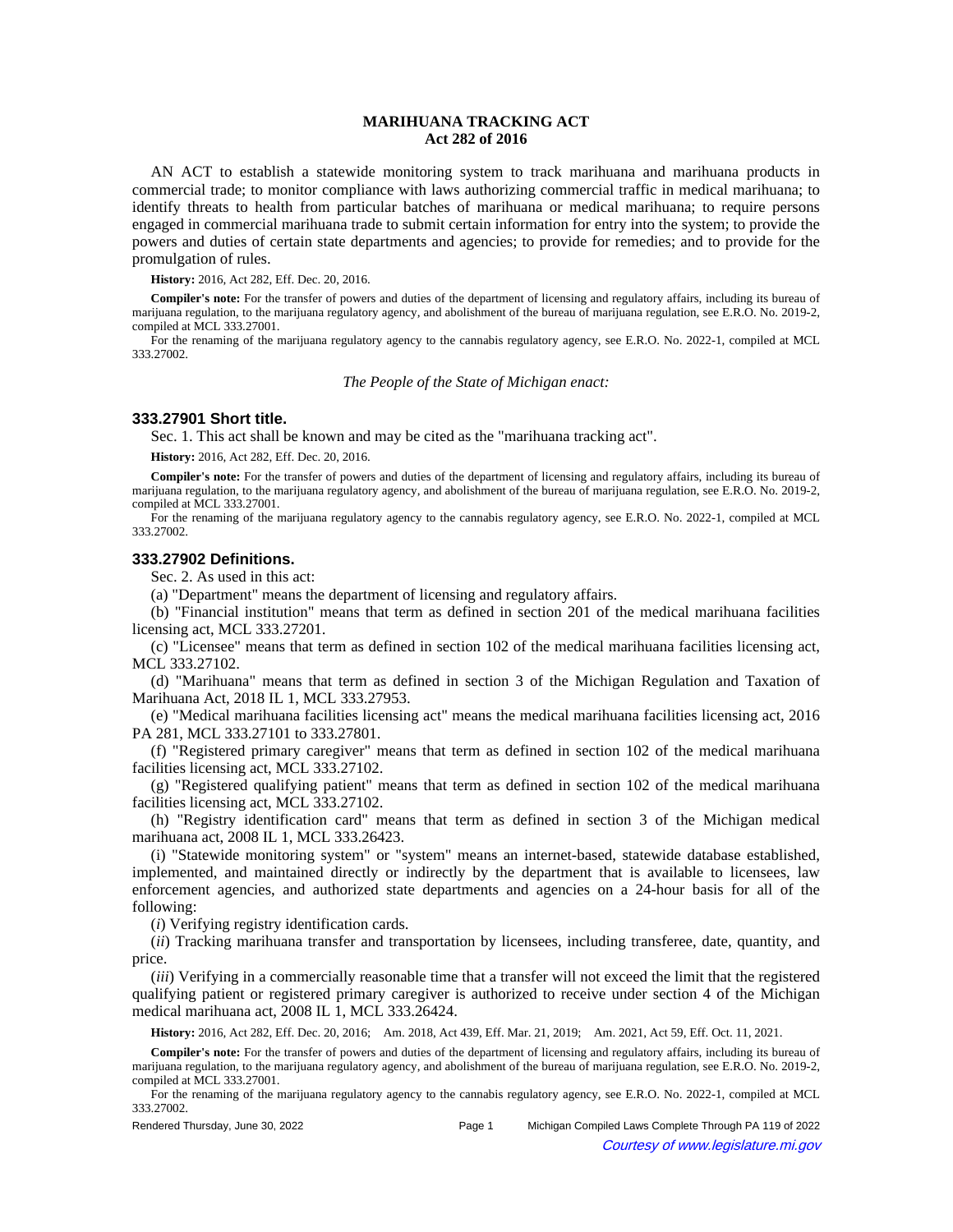# **MARIHUANA TRACKING ACT Act 282 of 2016**

AN ACT to establish a statewide monitoring system to track marihuana and marihuana products in commercial trade; to monitor compliance with laws authorizing commercial traffic in medical marihuana; to identify threats to health from particular batches of marihuana or medical marihuana; to require persons engaged in commercial marihuana trade to submit certain information for entry into the system; to provide the powers and duties of certain state departments and agencies; to provide for remedies; and to provide for the promulgation of rules.

**History:** 2016, Act 282, Eff. Dec. 20, 2016.

**Compiler's note:** For the transfer of powers and duties of the department of licensing and regulatory affairs, including its bureau of marijuana regulation, to the marijuana regulatory agency, and abolishment of the bureau of marijuana regulation, see E.R.O. No. 2019-2, compiled at MCL 333.27001.

For the renaming of the marijuana regulatory agency to the cannabis regulatory agency, see E.R.O. No. 2022-1, compiled at MCL 333.27002.

*The People of the State of Michigan enact:*

## **333.27901 Short title.**

Sec. 1. This act shall be known and may be cited as the "marihuana tracking act".

**History:** 2016, Act 282, Eff. Dec. 20, 2016.

**Compiler's note:** For the transfer of powers and duties of the department of licensing and regulatory affairs, including its bureau of marijuana regulation, to the marijuana regulatory agency, and abolishment of the bureau of marijuana regulation, see E.R.O. No. 2019-2, compiled at MCL 333.27001.

For the renaming of the marijuana regulatory agency to the cannabis regulatory agency, see E.R.O. No. 2022-1, compiled at MCL 333.27002.

#### **333.27902 Definitions.**

Sec. 2. As used in this act:

(a) "Department" means the department of licensing and regulatory affairs.

(b) "Financial institution" means that term as defined in section 201 of the medical marihuana facilities licensing act, MCL 333.27201.

(c) "Licensee" means that term as defined in section 102 of the medical marihuana facilities licensing act, MCL 333.27102.

(d) "Marihuana" means that term as defined in section 3 of the Michigan Regulation and Taxation of Marihuana Act, 2018 IL 1, MCL 333.27953.

(e) "Medical marihuana facilities licensing act" means the medical marihuana facilities licensing act, 2016 PA 281, MCL 333.27101 to 333.27801.

(f) "Registered primary caregiver" means that term as defined in section 102 of the medical marihuana facilities licensing act, MCL 333.27102.

(g) "Registered qualifying patient" means that term as defined in section 102 of the medical marihuana facilities licensing act, MCL 333.27102.

(h) "Registry identification card" means that term as defined in section 3 of the Michigan medical marihuana act, 2008 IL 1, MCL 333.26423.

(i) "Statewide monitoring system" or "system" means an internet-based, statewide database established, implemented, and maintained directly or indirectly by the department that is available to licensees, law enforcement agencies, and authorized state departments and agencies on a 24-hour basis for all of the following:

(*i*) Verifying registry identification cards.

(*ii*) Tracking marihuana transfer and transportation by licensees, including transferee, date, quantity, and price.

(*iii*) Verifying in a commercially reasonable time that a transfer will not exceed the limit that the registered qualifying patient or registered primary caregiver is authorized to receive under section 4 of the Michigan medical marihuana act, 2008 IL 1, MCL 333.26424.

History: 2016, Act 282, Eff. Dec. 20, 2016;—Am. 2018, Act 439, Eff. Mar. 21, 2019;—Am. 2021, Act 59, Eff. Oct. 11, 2021.

**Compiler's note:** For the transfer of powers and duties of the department of licensing and regulatory affairs, including its bureau of marijuana regulation, to the marijuana regulatory agency, and abolishment of the bureau of marijuana regulation, see E.R.O. No. 2019-2, compiled at MCL 333.27001.

For the renaming of the marijuana regulatory agency to the cannabis regulatory agency, see E.R.O. No. 2022-1, compiled at MCL 333.27002.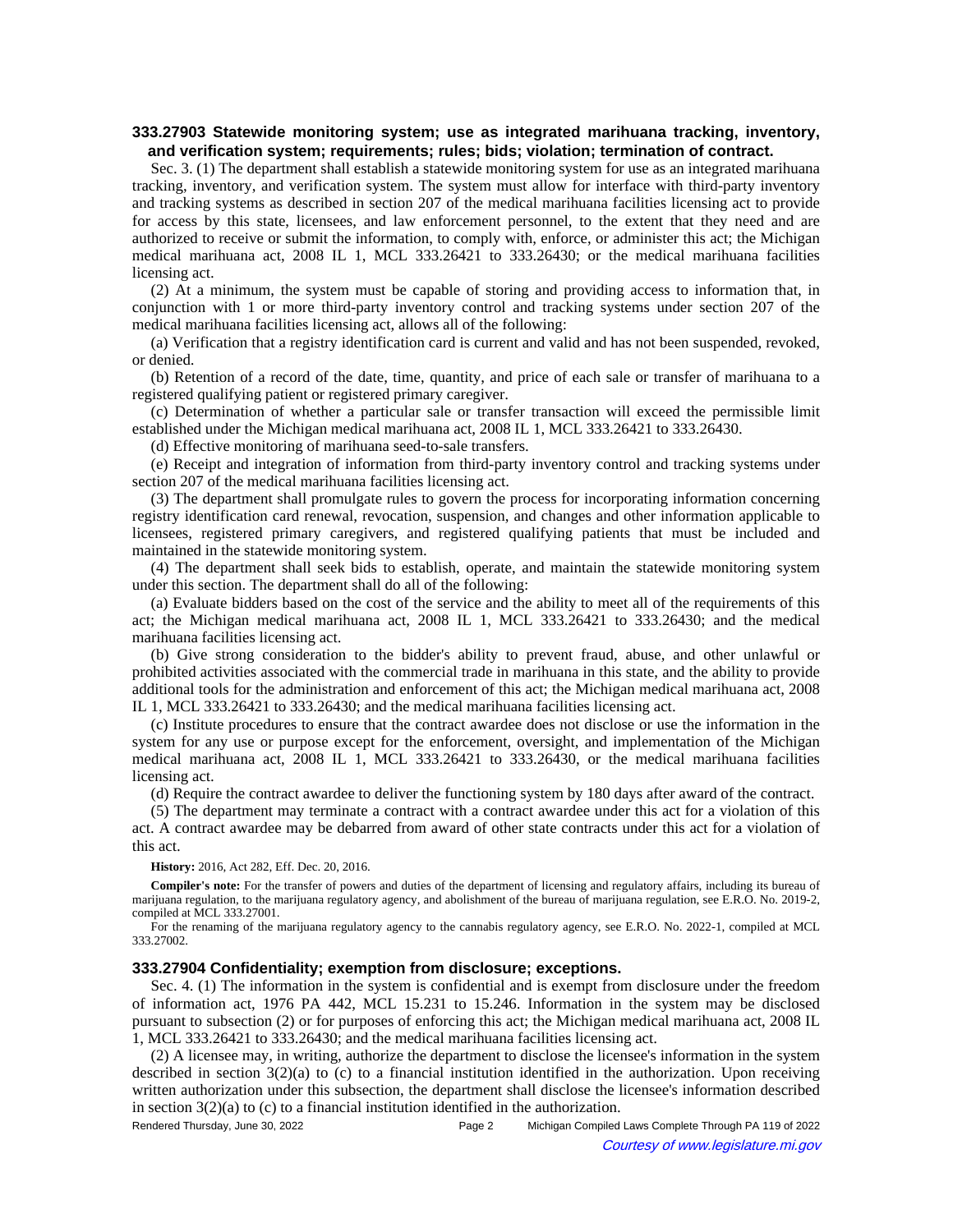## **333.27903 Statewide monitoring system; use as integrated marihuana tracking, inventory, and verification system; requirements; rules; bids; violation; termination of contract.**

Sec. 3. (1) The department shall establish a statewide monitoring system for use as an integrated marihuana tracking, inventory, and verification system. The system must allow for interface with third-party inventory and tracking systems as described in section 207 of the medical marihuana facilities licensing act to provide for access by this state, licensees, and law enforcement personnel, to the extent that they need and are authorized to receive or submit the information, to comply with, enforce, or administer this act; the Michigan medical marihuana act, 2008 IL 1, MCL 333.26421 to 333.26430; or the medical marihuana facilities licensing act.

(2) At a minimum, the system must be capable of storing and providing access to information that, in conjunction with 1 or more third-party inventory control and tracking systems under section 207 of the medical marihuana facilities licensing act, allows all of the following:

(a) Verification that a registry identification card is current and valid and has not been suspended, revoked, or denied.

(b) Retention of a record of the date, time, quantity, and price of each sale or transfer of marihuana to a registered qualifying patient or registered primary caregiver.

(c) Determination of whether a particular sale or transfer transaction will exceed the permissible limit established under the Michigan medical marihuana act, 2008 IL 1, MCL 333.26421 to 333.26430.

(d) Effective monitoring of marihuana seed-to-sale transfers.

(e) Receipt and integration of information from third-party inventory control and tracking systems under section 207 of the medical marihuana facilities licensing act.

(3) The department shall promulgate rules to govern the process for incorporating information concerning registry identification card renewal, revocation, suspension, and changes and other information applicable to licensees, registered primary caregivers, and registered qualifying patients that must be included and maintained in the statewide monitoring system.

(4) The department shall seek bids to establish, operate, and maintain the statewide monitoring system under this section. The department shall do all of the following:

(a) Evaluate bidders based on the cost of the service and the ability to meet all of the requirements of this act; the Michigan medical marihuana act, 2008 IL 1, MCL 333.26421 to 333.26430; and the medical marihuana facilities licensing act.

(b) Give strong consideration to the bidder's ability to prevent fraud, abuse, and other unlawful or prohibited activities associated with the commercial trade in marihuana in this state, and the ability to provide additional tools for the administration and enforcement of this act; the Michigan medical marihuana act, 2008 IL 1, MCL 333.26421 to 333.26430; and the medical marihuana facilities licensing act.

(c) Institute procedures to ensure that the contract awardee does not disclose or use the information in the system for any use or purpose except for the enforcement, oversight, and implementation of the Michigan medical marihuana act, 2008 IL 1, MCL 333.26421 to 333.26430, or the medical marihuana facilities licensing act.

(d) Require the contract awardee to deliver the functioning system by 180 days after award of the contract.

(5) The department may terminate a contract with a contract awardee under this act for a violation of this act. A contract awardee may be debarred from award of other state contracts under this act for a violation of this act.

**History:** 2016, Act 282, Eff. Dec. 20, 2016.

**Compiler's note:** For the transfer of powers and duties of the department of licensing and regulatory affairs, including its bureau of marijuana regulation, to the marijuana regulatory agency, and abolishment of the bureau of marijuana regulation, see E.R.O. No. 2019-2, compiled at MCL 333.27001.

For the renaming of the marijuana regulatory agency to the cannabis regulatory agency, see E.R.O. No. 2022-1, compiled at MCL 333.27002.

### **333.27904 Confidentiality; exemption from disclosure; exceptions.**

Sec. 4. (1) The information in the system is confidential and is exempt from disclosure under the freedom of information act, 1976 PA 442, MCL 15.231 to 15.246. Information in the system may be disclosed pursuant to subsection (2) or for purposes of enforcing this act; the Michigan medical marihuana act, 2008 IL 1, MCL 333.26421 to 333.26430; and the medical marihuana facilities licensing act.

(2) A licensee may, in writing, authorize the department to disclose the licensee's information in the system described in section 3(2)(a) to (c) to a financial institution identified in the authorization. Upon receiving written authorization under this subsection, the department shall disclose the licensee's information described in section  $3(2)(a)$  to (c) to a financial institution identified in the authorization.

Rendered Thursday, June 30, 2022 Page 2 Michigan Compiled Laws Complete Through PA 119 of 2022 Courtesy of www.legislature.mi.gov